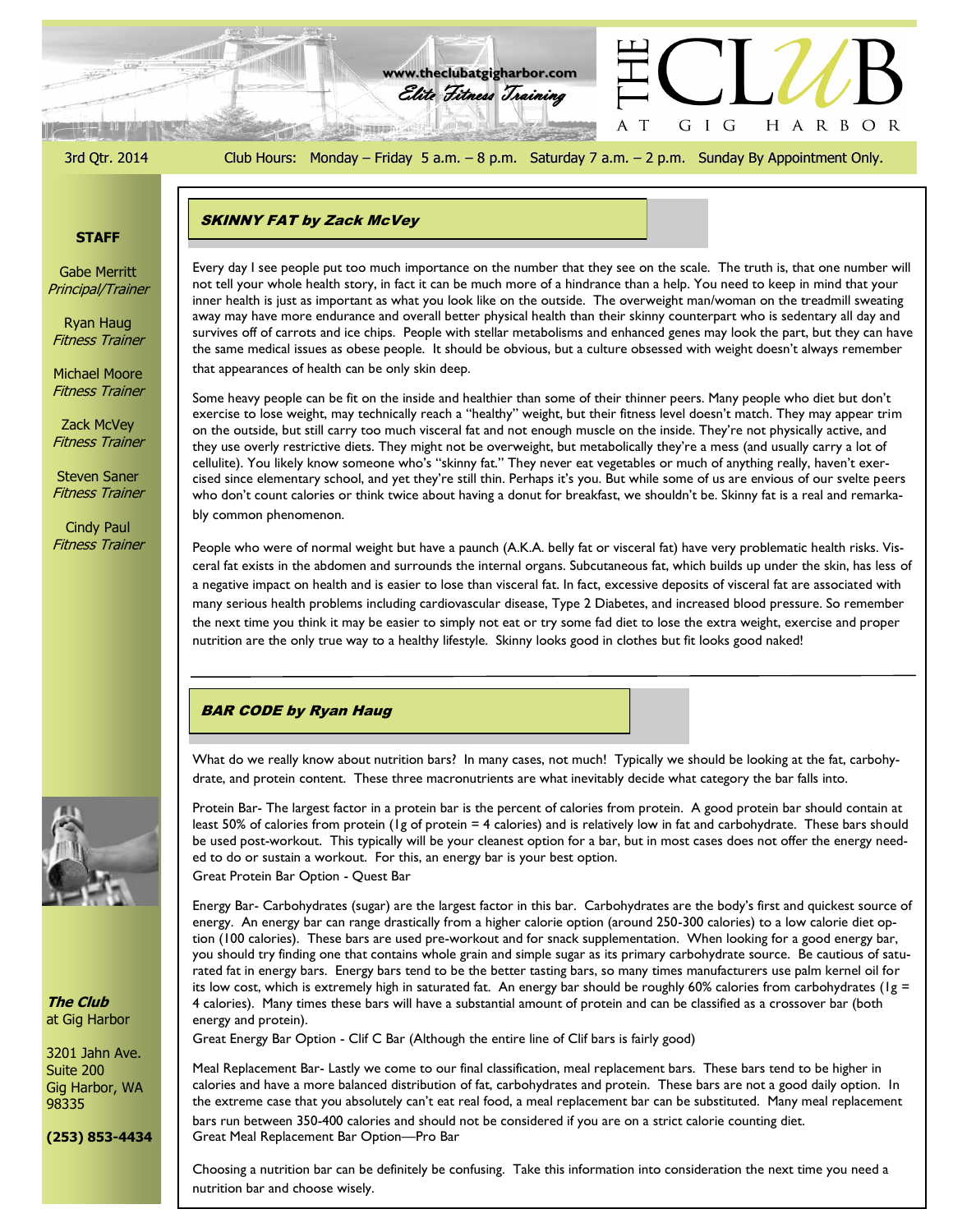3rd Qtr. 2014 Club Hours: Monday – Friday 5 a.m. – 8 p.m. Saturday 7 a.m. – 2 p.m. Sunday By Appointment Only.

G I G

A T

HARBOR

Elite Fitness Training **www.theclubatgigharbor.com**

#### **STAFF**

Gabe Merritt Principal/Trainer

Ryan Haug Fitness Trainer

Michael Moore Fitness Trainer

Zack McVey Fitness Trainer

Steven Saner Fitness Trainer

Cindy Paul Fitness Trainer



that appearances of health can be only skin deep.

**SAN RIFLE AND** 

Some heavy people can be fit on the inside and healthier than some of their thinner peers. Many people who diet but don't exercise to lose weight, may technically reach a "healthy" weight, but their fitness level doesn't match. They may appear trim on the outside, but still carry too much visceral fat and not enough muscle on the inside. They're not physically active, and they use overly restrictive diets. They might not be overweight, but metabolically they're a mess (and usually carry a lot of cellulite). You likely know someone who's "skinny fat." They never eat vegetables or much of anything really, haven't exercised since elementary school, and yet they're still thin. Perhaps it's you. But while some of us are envious of our svelte peers who don't count calories or think twice about having a donut for breakfast, we shouldn't be. Skinny fat is a real and remarkably common phenomenon.

People who were of normal weight but have a paunch (A.K.A. belly fat or visceral fat) have very problematic health risks. Visceral fat exists in the abdomen and surrounds the internal organs. Subcutaneous fat, which builds up under the skin, has less of a negative impact on health and is easier to lose than visceral fat. In fact, excessive deposits of visceral fat are associated with many serious health problems including cardiovascular disease, Type 2 Diabetes, and increased blood pressure. So remember the next time you think it may be easier to simply not eat or try some fad diet to lose the extra weight, exercise and proper nutrition are the only true way to a healthy lifestyle. Skinny looks good in clothes but fit looks good naked!

# BAR CODE by Ryan Haug

What do we really know about nutrition bars? In many cases, not much! Typically we should be looking at the fat, carbohydrate, and protein content. These three macronutrients are what inevitably decide what category the bar falls into.

Protein Bar- The largest factor in a protein bar is the percent of calories from protein. A good protein bar should contain at least 50% of calories from protein (1g of protein = 4 calories) and is relatively low in fat and carbohydrate. These bars should be used post-workout. This typically will be your cleanest option for a bar, but in most cases does not offer the energy needed to do or sustain a workout. For this, an energy bar is your best option. Great Protein Bar Option - Quest Bar

Energy Bar- Carbohydrates (sugar) are the largest factor in this bar. Carbohydrates are the body's first and quickest source of energy. An energy bar can range drastically from a higher calorie option (around 250-300 calories) to a low calorie diet option (100 calories). These bars are used pre-workout and for snack supplementation. When looking for a good energy bar, you should try finding one that contains whole grain and simple sugar as its primary carbohydrate source. Be cautious of saturated fat in energy bars. Energy bars tend to be the better tasting bars, so many times manufacturers use palm kernel oil for its low cost, which is extremely high in saturated fat. An energy bar should be roughly 60% calories from carbohydrates ( $1g =$ 4 calories). Many times these bars will have a substantial amount of protein and can be classified as a crossover bar (both energy and protein).

Great Energy Bar Option - Clif C Bar (Although the entire line of Clif bars is fairly good)

Meal Replacement Bar- Lastly we come to our final classification, meal replacement bars. These bars tend to be higher in calories and have a more balanced distribution of fat, carbohydrates and protein. These bars are not a good daily option. In the extreme case that you absolutely can't eat real food, a meal replacement bar can be substituted. Many meal replacement bars run between 350-400 calories and should not be considered if you are on a strict calorie counting diet. Great Meal Replacement Bar Option—Pro Bar

Choosing a nutrition bar can be definitely be confusing. Take this information into consideration the next time you need a nutrition bar and choose wisely.



**The Club** at Gig Harbor

3201 Jahn Ave. Suite 200 Gig Harbor, WA 98335

**(253) 853-4434**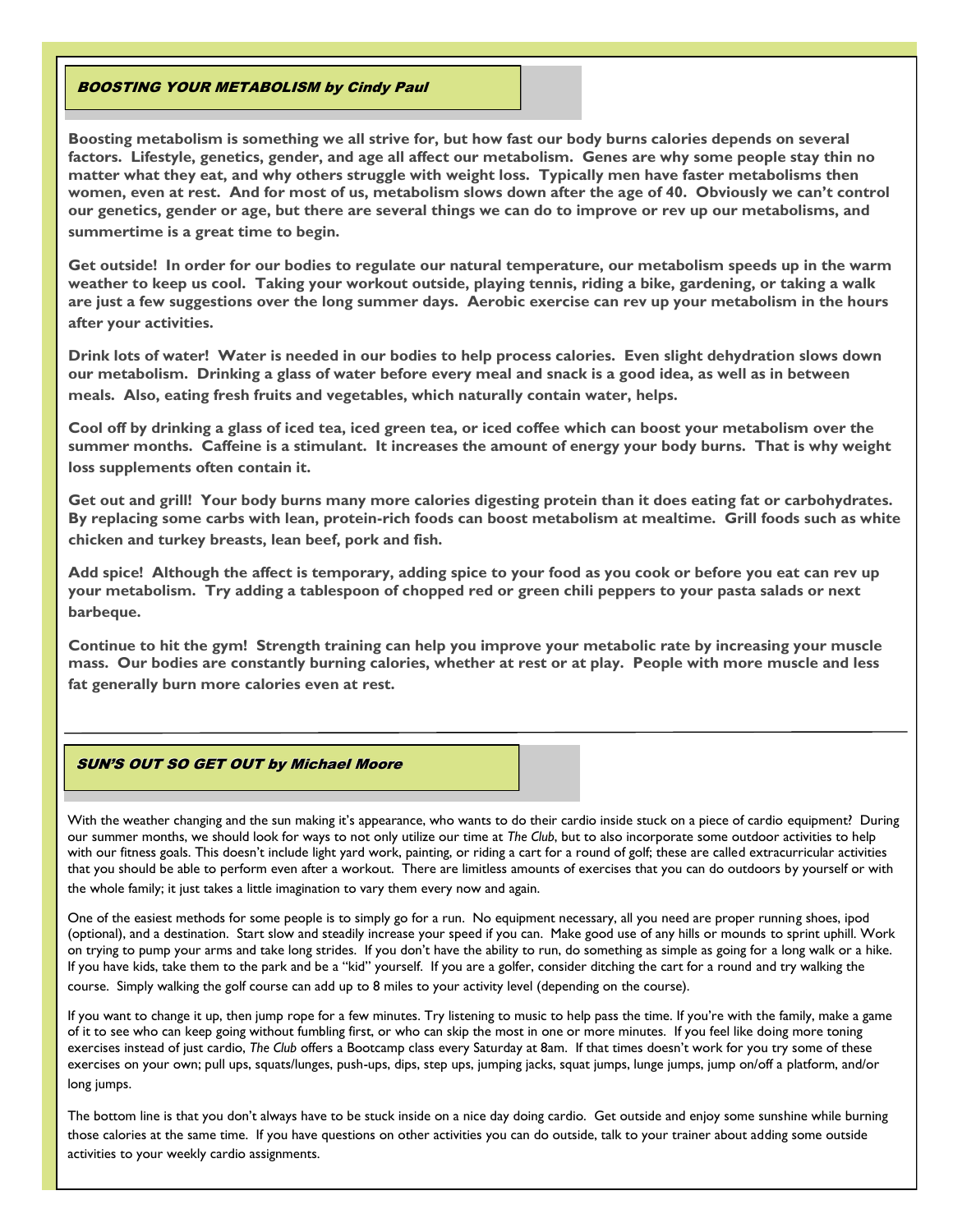#### BOOSTING YOUR METABOLISM by Cindy Paul

**Boosting metabolism is something we all strive for, but how fast our body burns calories depends on several factors. Lifestyle, genetics, gender, and age all affect our metabolism. Genes are why some people stay thin no matter what they eat, and why others struggle with weight loss. Typically men have faster metabolisms then women, even at rest. And for most of us, metabolism slows down after the age of 40. Obviously we can't control our genetics, gender or age, but there are several things we can do to improve or rev up our metabolisms, and summertime is a great time to begin.**

**Get outside! In order for our bodies to regulate our natural temperature, our metabolism speeds up in the warm weather to keep us cool. Taking your workout outside, playing tennis, riding a bike, gardening, or taking a walk are just a few suggestions over the long summer days. Aerobic exercise can rev up your metabolism in the hours after your activities.**

**Drink lots of water! Water is needed in our bodies to help process calories. Even slight dehydration slows down our metabolism. Drinking a glass of water before every meal and snack is a good idea, as well as in between meals. Also, eating fresh fruits and vegetables, which naturally contain water, helps.**

**Cool off by drinking a glass of iced tea, iced green tea, or iced coffee which can boost your metabolism over the summer months. Caffeine is a stimulant. It increases the amount of energy your body burns. That is why weight loss supplements often contain it.** 

**Get out and grill! Your body burns many more calories digesting protein than it does eating fat or carbohydrates. By replacing some carbs with lean, protein-rich foods can boost metabolism at mealtime. Grill foods such as white chicken and turkey breasts, lean beef, pork and fish.**

**Add spice! Although the affect is temporary, adding spice to your food as you cook or before you eat can rev up your metabolism. Try adding a tablespoon of chopped red or green chili peppers to your pasta salads or next barbeque.** 

**Continue to hit the gym! Strength training can help you improve your metabolic rate by increasing your muscle mass. Our bodies are constantly burning calories, whether at rest or at play. People with more muscle and less fat generally burn more calories even at rest.** 

#### SUN'S OUT SO GET OUT by Michael Moore

With the weather changing and the sun making it's appearance, who wants to do their cardio inside stuck on a piece of cardio equipment? During our summer months, we should look for ways to not only utilize our time at *The Club*, but to also incorporate some outdoor activities to help with our fitness goals. This doesn't include light yard work, painting, or riding a cart for a round of golf; these are called extracurricular activities that you should be able to perform even after a workout. There are limitless amounts of exercises that you can do outdoors by yourself or with the whole family; it just takes a little imagination to vary them every now and again.

One of the easiest methods for some people is to simply go for a run. No equipment necessary, all you need are proper running shoes, ipod (optional), and a destination. Start slow and steadily increase your speed if you can. Make good use of any hills or mounds to sprint uphill. Work on trying to pump your arms and take long strides. If you don't have the ability to run, do something as simple as going for a long walk or a hike. If you have kids, take them to the park and be a "kid" yourself. If you are a golfer, consider ditching the cart for a round and try walking the course. Simply walking the golf course can add up to 8 miles to your activity level (depending on the course).

If you want to change it up, then jump rope for a few minutes. Try listening to music to help pass the time. If you're with the family, make a game of it to see who can keep going without fumbling first, or who can skip the most in one or more minutes. If you feel like doing more toning exercises instead of just cardio, *The Club* offers a Bootcamp class every Saturday at 8am. If that times doesn't work for you try some of these exercises on your own; pull ups, squats/lunges, push-ups, dips, step ups, jumping jacks, squat jumps, lunge jumps, jump on/off a platform, and/or long jumps.

The bottom line is that you don't always have to be stuck inside on a nice day doing cardio. Get outside and enjoy some sunshine while burning those calories at the same time. If you have questions on other activities you can do outside, talk to your trainer about adding some outside activities to your weekly cardio assignments.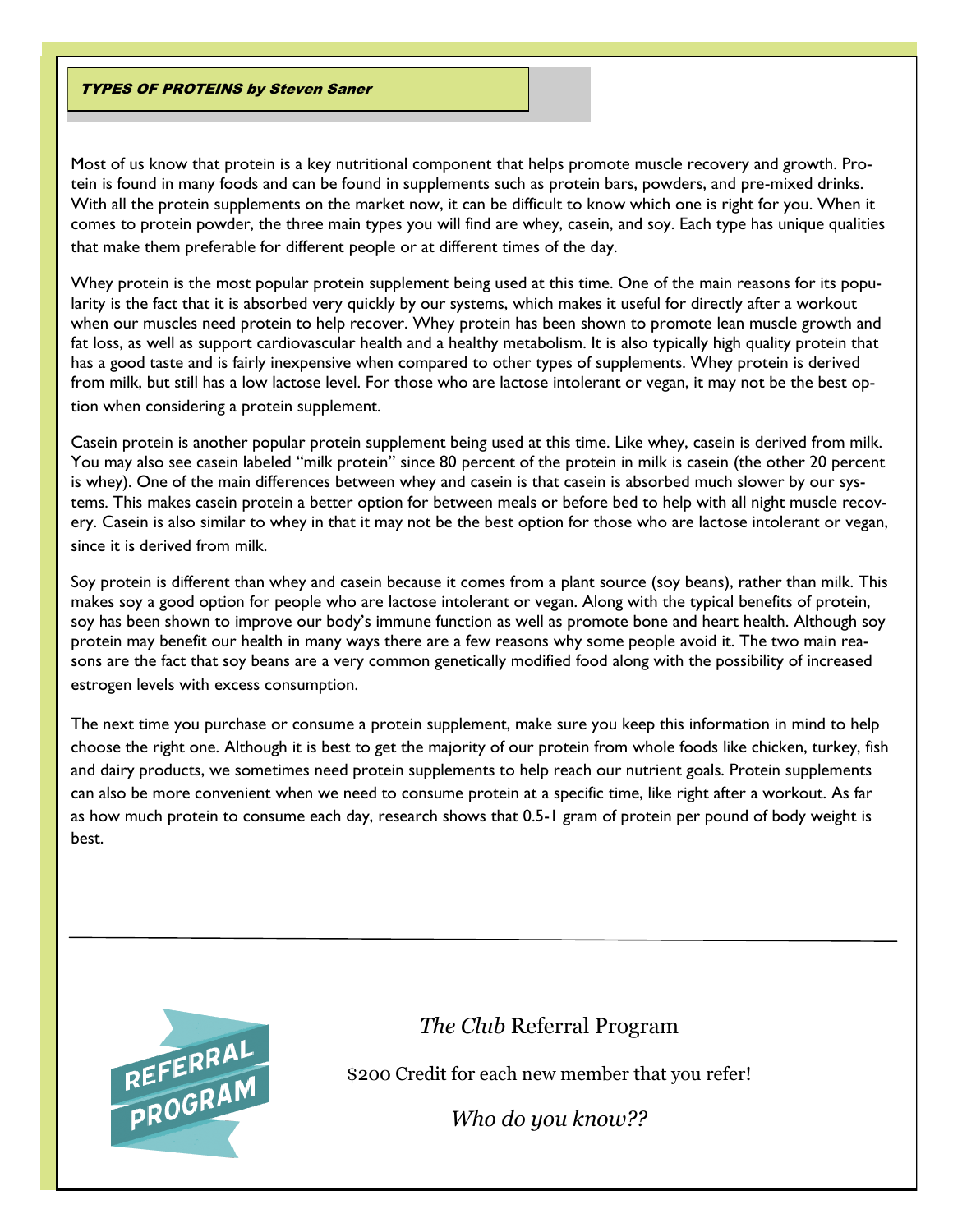### TYPES OF PROTEINS by Steven Saner

Most of us know that protein is a key nutritional component that helps promote muscle recovery and growth. Protein is found in many foods and can be found in supplements such as protein bars, powders, and pre-mixed drinks. With all the protein supplements on the market now, it can be difficult to know which one is right for you. When it comes to protein powder, the three main types you will find are whey, casein, and soy. Each type has unique qualities that make them preferable for different people or at different times of the day.

Whey protein is the most popular protein supplement being used at this time. One of the main reasons for its popularity is the fact that it is absorbed very quickly by our systems, which makes it useful for directly after a workout when our muscles need protein to help recover. Whey protein has been shown to promote lean muscle growth and fat loss, as well as support cardiovascular health and a healthy metabolism. It is also typically high quality protein that has a good taste and is fairly inexpensive when compared to other types of supplements. Whey protein is derived from milk, but still has a low lactose level. For those who are lactose intolerant or vegan, it may not be the best option when considering a protein supplement.

Casein protein is another popular protein supplement being used at this time. Like whey, casein is derived from milk. You may also see casein labeled "milk protein" since 80 percent of the protein in milk is casein (the other 20 percent is whey). One of the main differences between whey and casein is that casein is absorbed much slower by our systems. This makes casein protein a better option for between meals or before bed to help with all night muscle recovery. Casein is also similar to whey in that it may not be the best option for those who are lactose intolerant or vegan, since it is derived from milk.

Soy protein is different than whey and casein because it comes from a plant source (soy beans), rather than milk. This makes soy a good option for people who are lactose intolerant or vegan. Along with the typical benefits of protein, soy has been shown to improve our body's immune function as well as promote bone and heart health. Although soy protein may benefit our health in many ways there are a few reasons why some people avoid it. The two main reasons are the fact that soy beans are a very common genetically modified food along with the possibility of increased estrogen levels with excess consumption.

The next time you purchase or consume a protein supplement, make sure you keep this information in mind to help choose the right one. Although it is best to get the majority of our protein from whole foods like chicken, turkey, fish and dairy products, we sometimes need protein supplements to help reach our nutrient goals. Protein supplements can also be more convenient when we need to consume protein at a specific time, like right after a workout. As far as how much protein to consume each day, research shows that 0.5-1 gram of protein per pound of body weight is best.



# *The Club* Referral Program

\$200 Credit for each new member that you refer!

*Who do you know??*